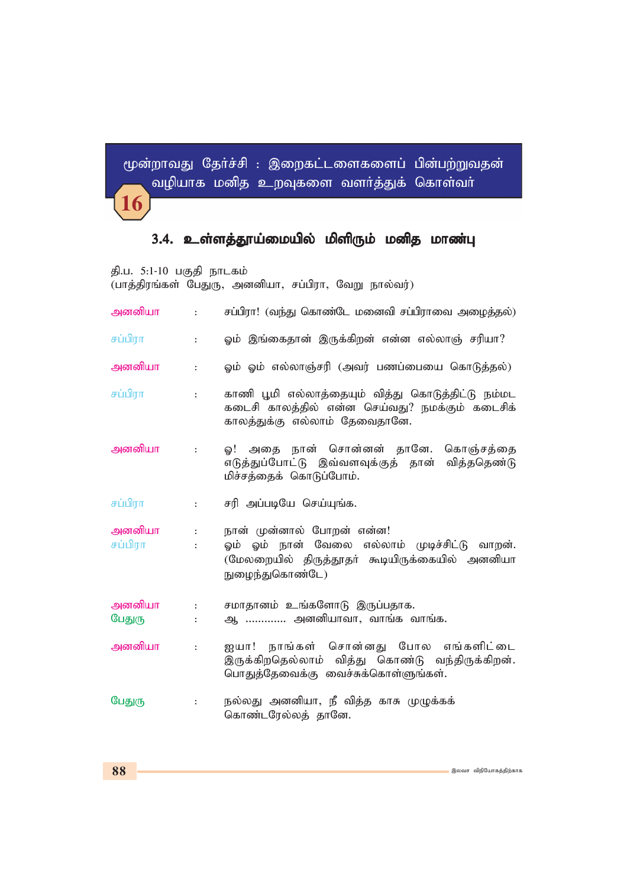மூன்றாவது தேர்ச்சி : இறைகட்டளைகளைப் பின்பற்றுவதன் வழியாக மனித உறவுகளை வளர்த்துக் கொள்வர்

## 3.4. உள்ளத்தூய்மையில் மிளிரும் மனித மாண்பு

| தி.ப. 5:1-10 பகுதி நாடகம் |                                              | (பாத்திரங்கள் பேதுரு, அனனியா, சப்பிரா, வேறு நால்வர்)                                                                                            |
|---------------------------|----------------------------------------------|-------------------------------------------------------------------------------------------------------------------------------------------------|
| அனனியா                    | $\ddot{\cdot}$                               | சப்பிரா! (வந்து கொண்டே மனைவி சப்பிராவை அழைத்தல்)                                                                                                |
| சப்பிரா                   | $\ddot{\phantom{a}}$                         | ஓம் இங்கைதான் இருக்கிறன் என்ன எல்லாஞ் சரியா?                                                                                                    |
| அனனியா                    | $\ddot{\cdot}$                               | ஓம் ஓம் எல்லாஞ்சரி (அவர் பணப்பையை கொடுத்தல்)                                                                                                    |
| சப்பிரா                   | $\ddot{\cdot}$                               | காணி பூமி எல்லாத்தையும் வித்து கொடுத்திட்டு நம்மட<br>கடைசி காலத்தில் என்ன செய்வது? நமக்கும் கடைசிக்<br>காலத்துக்கு எல்லாம் தேவைதானே.            |
| அனனியா                    | $\ddot{\cdot}$                               | ஓ! அதை நான் சொன்னன் தானே. கொஞ்சத்தை<br>எடுத்துப்போட்டு இவ்வளவுக்குத் தான் வித்ததெண்டு<br>மிச்சத்தைக் கொடுப்போம்.                                |
| சப்பிரா                   | $\ddot{\phantom{a}}$                         | சரி அப்படியே செய்யுங்க.                                                                                                                         |
| அனனியா<br>சப்பிரா         | $\ddot{\phantom{a}}$<br>$\ddot{\phantom{a}}$ | நான் முன்னால் போறன் என்ன!<br>ஓம் ஓம் நான் வேலை எல்லாம் முடிச்சிட்டு வாறன்.<br>(மேலறையில் திருத்தூதா் கூடியிருக்கையில் அனனியா<br>நுழைந்துகொண்டே) |
| அனனியா                    | $\ddot{\phantom{a}}$                         | சமாதானம் உங்களோடு இருப்பதாக.                                                                                                                    |
| பேதுரு                    | $\ddot{\phantom{a}}$                         | ஆ  அனனியாவா, வாங்க வாங்க.                                                                                                                       |
| அனனியா                    | $\ddot{\phantom{a}}$                         | ஐயா! நாங்கள் சொன்னது போல எங்களிட்டை<br>இருக்கிறதெல்லாம் வித்து கொண்டு வந்திருக்கிறன்.<br>பொதுத்தேவைக்கு வைச்சுக்கொள்ளுங்கள்.                    |
| பேதுரு                    | $\ddot{\phantom{a}}$                         | நல்லது அனனியா, நீ வித்த காசு முழுக்கக்<br>கொண்டரேல்லத் தானே.                                                                                    |

**16**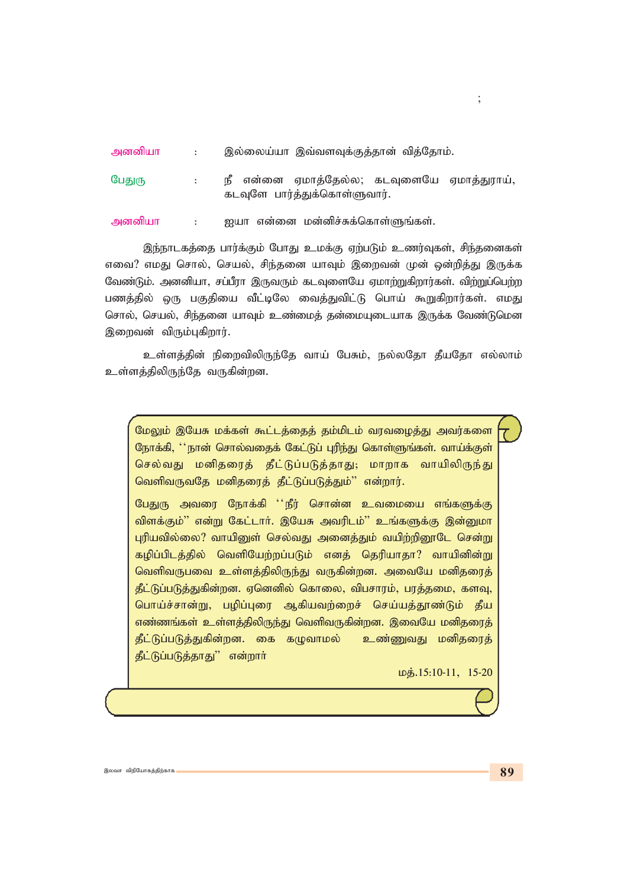| அனனியா | இல்லைய்யா இவ்வளவுக்குத்தான் வித்தோம். |  |  |
|--------|---------------------------------------|--|--|
|        |                                       |  |  |

நீ என்னை எமாக்கேல்ல: கடவளையே எமாக்காாய். பேகமா  $\mathbf{r}$ கடவுளே பார்த்துக்கொள்ளுவார்.

ஐயா என்னை மன்னிச்சுக்கொள்ளுங்கள். அனனியா  $\ddot{\cdot}$ 

இந்நாடகத்தை பார்க்கும் போது உமக்கு ஏற்படும் உணர்வுகள், சிந்தனைகள் எவை? எமது சொல், செயல், சிந்தனை யாவும் இறைவன் முன் ஒன்றித்து இருக்க வேண்டும். அனனியா, சப்பீரா இருவரும் கடவுளையே ஏமாற்றுகிறார்கள். விற்றுப்பெற்ற பணத்தில் ஒரு பகுதியை வீட்டிலே வைத்துவிட்டு பொய் கூறுகிறார்கள். எமது சொல், செயல், சிந்தனை யாவும் உண்மைத் தன்மையுடையாக இருக்க வேண்டுமென இறைவன் விரும்புகிறார்.

உள்ளத்தின் நிறைவிலிருந்தே வாய் பேசும், நல்லதோ தீயதோ எல்லாம் உள்ளத்திலிருந்தே வருகின்றன.

மேலும் இயேசு மக்கள் கூட்டத்தைத் தம்மிடம் வரவழைத்து அவர்களை நோக்கி, ''நான் சொல்வதைக் கேட்டுப் புரிந்து கொள்ளுங்கள். வாய்க்குள் செல்வது மனிதரைத் தீட்டுப்படுத்தாது; மாறாக வாயிலிருந்து வெளிவருவதே மனிதரைத் தீட்டுப்படுத்தும்'' என்றார். பேதுரு அவரை நோக்கி ''நீர் சொன்ன உவமையை எங்களுக்கு விளக்கும்'' என்று கேட்டார். இயேசு அவரிடம்'' உங்களுக்கு இன்னுமா புரியவில்லை? வாயினுள் செல்வது அனைத்தும் வயிற்றினூடே சென்று கழிப்பிடத்தில் வெளியேற்றப்படும் எனத் தெரியாதா? வாயினின்று

வெளிவருபவை உள்ளத்திலிருந்து வருகின்றன. அவையே மனிதரைத் தீட்டுப்படுத்துகின்றன. ஏனெனில் கொலை, விபசாரம், பரத்தமை, களவு, பொய்ச்சான்று, பழிப்புரை ஆகியவற்றைச் செய்யத்தூண்டும் தீய எண்ணங்கள் உள்ளத்திலிருந்து வெளிவருகின்றன. இவையே மனிதரைத் தீட்டுப்படுத்துகின்றன. கை கழுவாமல் உண்ணுவது மனிதரைத் தீட்டுப்படுத்தாது" என்றார்

மத்.15:10-11, 15-20

 $\vdots$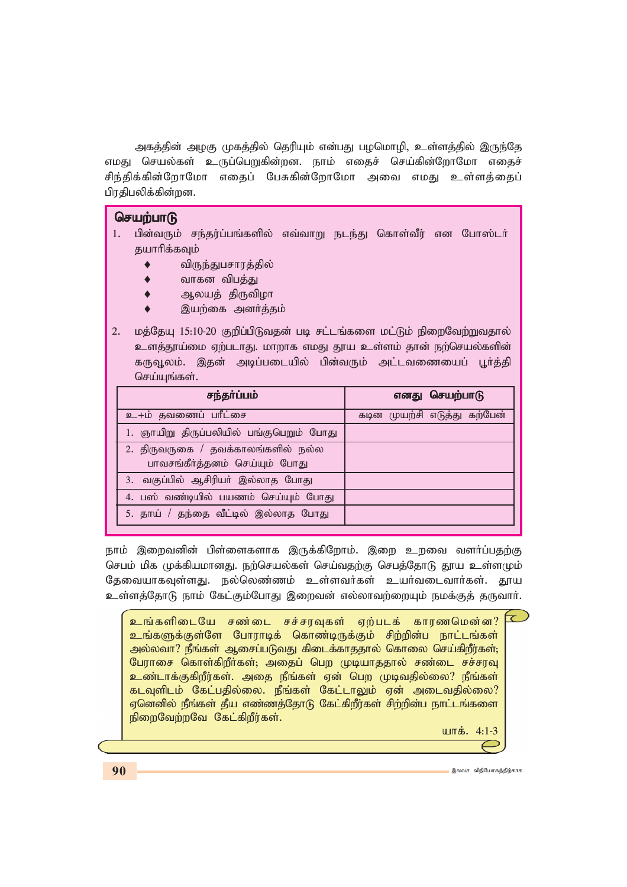அகத்தின் அழகு முகத்தில் தெரியும் என்பது பழமொழி, உள்ளத்தில் இருந்தே எமது செயல்கள் உருப்பெறுகின்றன. நாம் எதைச் செய்கின்றோமோ எதைச் சிந்திக்கின்றோமோ எதைப் பேசுகின்றோமோ அவை எமது உள்ளத்தைப் பிரகிபலிக்கின்றன.

## *செயற்பாடு*

- 1. பின்வரும் சந்தர்ப்பங்களில் எவ்வாறு நடந்து கொள்வீர் என போஸ்டர் கயாரிக்கவும்
	- விருந்துபசாரத்தில்
	- வாகன விபத்து
	- ஆலயத் திருவிழா
	- இயற்கை அனர்த்தம்
- 2. மத்தேயு 15:10-20 குறிப்பிடுவதன் படி சட்டங்களை மட்டும் நிறைவேற்றுவதால் உளத்தூய்மை ஏற்படாது. மாறாக எமது தூய உள்ளம் தான் நற்செயல்களின் கருவூலம். இதன் அடிப்படையில் பின்வரும் அட்டவணையைப் பூர்த்தி செய்யுங்கள்.

| சந்தர்ப்பம்                                                          | எனது செயற்பாடு               |  |  |  |
|----------------------------------------------------------------------|------------------------------|--|--|--|
| உ+ம் தவணைப் பரீட்சை                                                  | கடின முயற்சி எடுத்து கற்பேன் |  |  |  |
| 1. ஞாயிறு திருப்பலியில் பங்குபெறும் போது                             |                              |  |  |  |
| 2. திருவருகை / தவக்காலங்களில் நல்ல<br>பாவசங்கீர்த்தனம் செய்யும் போது |                              |  |  |  |
| 3. வகுப்பில் ஆசிரியா் இல்லாத போது                                    |                              |  |  |  |
| 4. பஸ் வண்டியில் பயணம் செய்யும் போது                                 |                              |  |  |  |
| 5. தாய் / தந்தை வீட்டில் இல்லாத போது                                 |                              |  |  |  |

நாம் இறைவனின் பிள்ளைகளாக இருக்கிறோம். இறை உறவை வளர்ப்பதற்கு செபம் மிக முக்கியமானது. நற்செயல்கள் செய்வதற்கு செபத்தோடு தூய உள்ளமும் தேவையாகவுள்ளது. நல்லெண்ணம் உள்ளவர்கள் உயர்வடைவார்கள். தூய உள்ளத்தோடு நாம் கேட்கும்போது இறைவன் எல்லாவற்றையும் நமக்குத் தருவார்.

உங்களிடையே சண்டை சச்சரவுகள் ஏற்படக் காரணமென்ன? உங்களுக்குள்ளே போராடிக் கொண்டிருக்கும் சிற்றின்ப நாட்டங்கள் அல்லவா? நீங்கள் ஆசைப்படுவது கிடைக்காததால் கொலை செய்கிறீர்கள்<del>,</del> பேராசை கொள்கிறீர்கள்; அதைப் பெற முடியாததால் சண்டை சச்சரவு உண்டாக்குகிறீர்கள். அதை நீங்கள் ஏன் பெற முடிவதில்லை? நீங்கள் கடவுளிடம் கேட்பதில்லை. நீங்கள் கேட்டாலும் ஏன் அடைவதில்லை? *Vnddpy; ePq;fs; jPa vz;zj;NjhL Nfl;fpwPu;fs; rpw;wpd;g ehl;lq;fis*  $p$ நிறைவேற்றவே கேட்கிறீர்கள்.

*ahf;. 4:1-3*

 $\overline{\mathcal{C}}$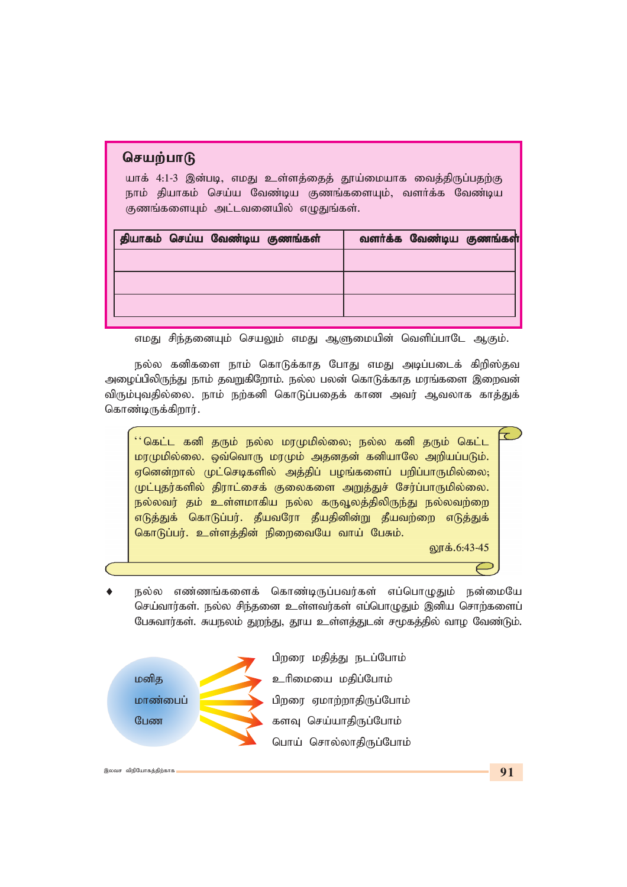## செயற்பாடு

யாக் 4:1-3 இன்படி, எமது உள்ளத்தைத் தூய்மையாக வைத்திருப்பதற்கு நாம் தியாகம் செய்ய வேண்டிய குணங்களையும், வளர்க்க வேண்டிய குணங்களையும் அட்டவனையில் எழுதுங்கள்.

| தியாகம் செய்ய வேண்டிய குணங்கள் | வளர்க்க வேண்டிய குணங்கள் |
|--------------------------------|--------------------------|
|                                |                          |
|                                |                          |
|                                |                          |
|                                |                          |

எமது சிந்தனையும் செயலும் எமது ஆளுமையின் வெளிப்பாடே ஆகும்.

நல்ல கனிகளை நாம் கொடுக்காத போது எமது அடிப்படைக் கிறிஸ்தவ அழைப்பிலிருந்து நாம் தவறுகிறோம். நல்ல பலன் கொடுக்காத மரங்களை இறைவன் விரும்புவதில்லை. நாம் நற்கனி கொடுப்பதைக் காண அவர் ஆவலாக காத்துக் கொண்டிருக்கிறார்.

 $^{\prime\prime}$ கெட்ட கனி தரும் நல்ல மரமுமில்லை; நல்ல கனி தரும் கெட்ட **மரமுமில்லை. ஒவ்வொரு மரமும் அதனதன் கனியாலே அறியப்படும்.** *Vndd;why; Kl;nrbfspy; mj;jpg; goq;fisg; gwpg;ghUkpy;iy@* முட்புதர்களில் திராட்சைக் குலைகளை அறுத்துச் சேர்ப்பாருமில்லை. நல்லவர் தம் உள்ளமாகிய நல்ல கருவூலத்திலிருந்து நல்லவற்றை எடுத்துக் கொடுப்பர். தீயவரோ தீயதினின்று தீயவற்றை எடுத்துக் கொடுப்பர். உள்ளத்தின் நிறைவையே வாய் பேசும்.

லாக்.6:43-45

நல்ல எண்ணங்களைக் கொண்டிருப்பவர்கள் எப்பொழுதும் நன்மையே செய்வார்கள், நல்ல சிந்கனை உள்ளவர்கள் எப்பொமுகம் இனிய சொற்களைப் பேசுவார்கள். சுயநலம் துறந்து, தூய உள்ளத்துடன் சமூகத்தில் வாழ வேண்டும்.



இலவச விநியோகத்திற்காக **மானிய மானிய மானிய மானிய மானிய மானிய மானிய மானிய மானிய மானிய மானிய மானிய மானிய மானிய மானிய**